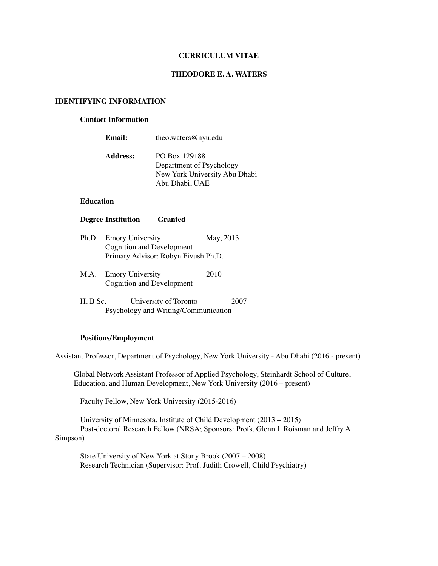### **CURRICULUM VITAE**

### **THEODORE E. A. WATERS**

## **IDENTIFYING INFORMATION**

### **Contact Information**

| Email:          | theo.waters@nyu.edu                                                                          |
|-----------------|----------------------------------------------------------------------------------------------|
| <b>Address:</b> | PO Box 129188<br>Department of Psychology<br>New York University Abu Dhabi<br>Abu Dhabi, UAE |

## **Education**

### **Degree Institution Granted**

- Ph.D. Emory University May, 2013 Cognition and Development Primary Advisor: Robyn Fivush Ph.D.
- M.A. Emory University 2010 Cognition and Development
- H. B.Sc. University of Toronto 2007 Psychology and Writing/Communication

# **Positions/Employment**

Assistant Professor, Department of Psychology, New York University - Abu Dhabi (2016 - present)

Global Network Assistant Professor of Applied Psychology, Steinhardt School of Culture, Education, and Human Development, New York University (2016 – present)

Faculty Fellow, New York University (2015-2016)

University of Minnesota, Institute of Child Development (2013 – 2015) Post-doctoral Research Fellow (NRSA; Sponsors: Profs. Glenn I. Roisman and Jeffry A. Simpson)

State University of New York at Stony Brook (2007 – 2008) Research Technician (Supervisor: Prof. Judith Crowell, Child Psychiatry)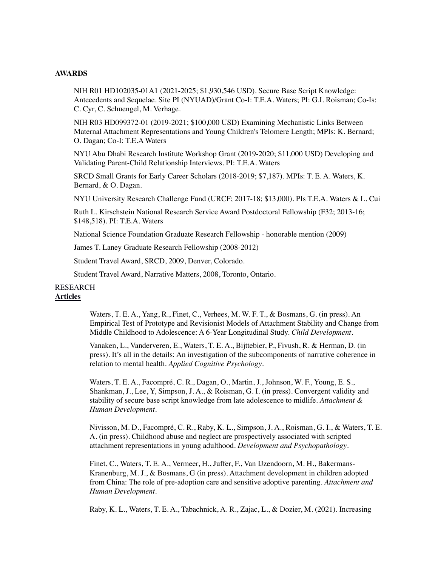#### **AWARDS**

NIH R01 HD102035-01A1 (2021-2025; \$1,930,546 USD). Secure Base Script Knowledge: Antecedents and Sequelae. Site PI (NYUAD)/Grant Co-I: T.E.A. Waters; PI: G.I. Roisman; Co-Is: C. Cyr, C. Schuengel, M. Verhage.

NIH R03 HD099372-01 (2019-2021; \$100,000 USD) Examining Mechanistic Links Between Maternal Attachment Representations and Young Children's Telomere Length; MPIs: K. Bernard; O. Dagan; Co-I: T.E.A Waters

NYU Abu Dhabi Research Institute Workshop Grant (2019-2020; \$11,000 USD) Developing and Validating Parent-Child Relationship Interviews. PI: T.E.A. Waters

SRCD Small Grants for Early Career Scholars (2018-2019; \$7,187). MPIs: T. E. A. Waters, K. Bernard, & O. Dagan.

NYU University Research Challenge Fund (URCF; 2017-18; \$13,000). PIs T.E.A. Waters & L. Cui

Ruth L. Kirschstein National Research Service Award Postdoctoral Fellowship (F32; 2013-16; \$148,518). PI: T.E.A. Waters

National Science Foundation Graduate Research Fellowship - honorable mention (2009)

James T. Laney Graduate Research Fellowship (2008-2012)

Student Travel Award, SRCD, 2009, Denver, Colorado.

Student Travel Award, Narrative Matters, 2008, Toronto, Ontario.

### RESEARCH **Articles**

Waters, T. E. A., Yang, R., Finet, C., Verhees, M. W. F. T., & Bosmans, G. (in press). An Empirical Test of Prototype and Revisionist Models of Attachment Stability and Change from Middle Childhood to Adolescence: A 6-Year Longitudinal Study. *Child Development*.

Vanaken, L., Vanderveren, E., Waters, T. E. A., Bijttebier, P., Fivush, R. & Herman, D. (in press). It's all in the details: An investigation of the subcomponents of narrative coherence in relation to mental health. *Applied Cognitive Psychology*.

Waters, T. E. A., Facompré, C. R., Dagan, O., Martin, J., Johnson, W. F., Young, E. S., Shankman, J., Lee, Y, Simpson, J. A., & Roisman, G. I. (in press). Convergent validity and stability of secure base script knowledge from late adolescence to midlife. *Attachment & Human Development*.

Nivisson, M. D., Facompré, C. R., Raby, K. L., Simpson, J. A., Roisman, G. I., & Waters, T. E. A. (in press). Childhood abuse and neglect are prospectively associated with scripted attachment representations in young adulthood. *Development and Psychopathology*.

Finet, C., Waters, T. E. A., Vermeer, H., Juffer, F., Van IJzendoorn, M. H., Bakermans-Kranenburg, M. J., & Bosmans, G (in press). Attachment development in children adopted from China: The role of pre-adoption care and sensitive adoptive parenting. *Attachment and Human Development*.

Raby, K. L., Waters, T. E. A., Tabachnick, A. R., Zajac, L., & Dozier, M. (2021). Increasing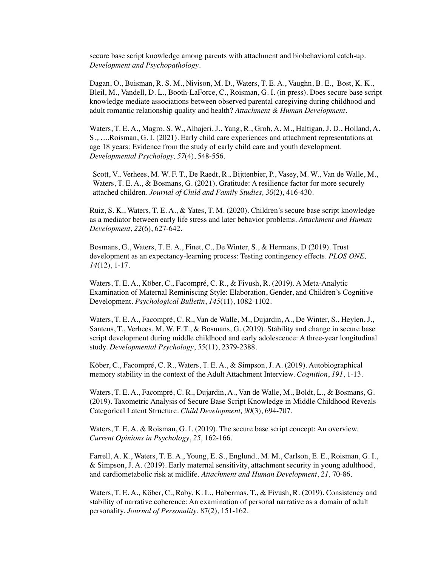secure base script knowledge among parents with attachment and biobehavioral catch-up. *Development and Psychopathology*.

Dagan, O., Buisman, R. S. M., Nivison, M. D., Waters, T. E. A., Vaughn, B. E., Bost, K. K., Bleil, M., Vandell, D. L., Booth-LaForce, C., Roisman, G. I. (in press). Does secure base script knowledge mediate associations between observed parental caregiving during childhood and adult romantic relationship quality and health? *Attachment & Human Development*.

Waters, T. E. A., Magro, S. W., Alhajeri, J., Yang, R., Groh, A. M., Haltigan, J. D., Holland, A. S.,…..Roisman, G. I. (2021). Early child care experiences and attachment representations at age 18 years: Evidence from the study of early child care and youth development. *Developmental Psychology, 57*(4), 548-556.

Scott, V., Verhees, M. W. F. T., De Raedt, R., Bijttenbier, P., Vasey, M. W., Van de Walle, M., Waters, T. E. A., & Bosmans, G. (2021). Gratitude: A resilience factor for more securely attached children. *Journal of Child and Family Studies, 30*(2), 416-430*.*

Ruiz, S. K., Waters, T. E. A., & Yates, T. M. (2020). Children's secure base script knowledge as a mediator between early life stress and later behavior problems. *Attachment and Human Development*, *22*(6), 627-642.

Bosmans, G., Waters, T. E. A., Finet, C., De Winter, S., & Hermans, D (2019). Trust development as an expectancy-learning process: Testing contingency effects. *PLOS ONE, 14*(12), 1-17.

Waters, T. E. A., Köber, C., Facompré, C. R., & Fivush, R. (2019). A Meta-Analytic Examination of Maternal Reminiscing Style: Elaboration, Gender, and Children's Cognitive Development. *Psychological Bulletin*, *145*(11), 1082-1102.

Waters, T. E. A., Facompré, C. R., Van de Walle, M., Dujardin, A., De Winter, S., Heylen, J., Santens, T., Verhees, M. W. F. T., & Bosmans, G. (2019). Stability and change in secure base script development during middle childhood and early adolescence: A three-year longitudinal study. *Developmental Psychology*, *55*(11), 2379-2388.

Köber, C., Facompré, C. R., Waters, T. E. A., & Simpson, J. A. (2019). Autobiographical memory stability in the context of the Adult Attachment Interview. *Cognition*, *191*, 1-13.

Waters, T. E. A., Facompré, C. R., Dujardin, A., Van de Walle, M., Boldt, L., & Bosmans, G. (2019). Taxometric Analysis of Secure Base Script Knowledge in Middle Childhood Reveals Categorical Latent Structure. *Child Development, 90*(3), 694-707.

Waters, T. E. A. & Roisman, G. I. (2019). The secure base script concept: An overview. *Current Opinions in Psychology*, *25,* 162-166.

Farrell, A. K., Waters, T. E. A., Young, E. S., Englund., M. M., Carlson, E. E., Roisman, G. I., & Simpson, J. A. (2019). Early maternal sensitivity, attachment security in young adulthood, and cardiometabolic risk at midlife. *Attachment and Human Development*, *21,* 70-86.

Waters, T. E. A., Köber, C., Raby, K. L., Habermas, T., & Fivush, R. (2019). Consistency and stability of narrative coherence: An examination of personal narrative as a domain of adult personality. *Journal of Personality*, 87(2), 151-162.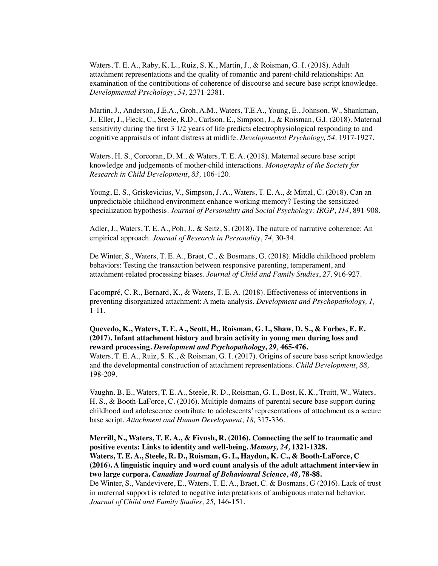Waters, T. E. A., Raby, K. L., Ruiz, S. K., Martin, J., & Roisman, G. I. (2018). Adult attachment representations and the quality of romantic and parent-child relationships: An examination of the contributions of coherence of discourse and secure base script knowledge. *Developmental Psychology*, *54,* 2371-2381.

Martin, J., Anderson, J.E.A., Groh, A.M., Waters, T.E.A., Young, E., Johnson, W., Shankman, J., Eller, J., Fleck, C., Steele, R.D., Carlson, E., Simpson, J., & Roisman, G.I. (2018). Maternal sensitivity during the first 3 1/2 years of life predicts electrophysiological responding to and cognitive appraisals of infant distress at midlife. *Developmental Psychology, 54,* 1917-1927.

Waters, H. S., Corcoran, D. M., & Waters, T. E. A. (2018). Maternal secure base script knowledge and judgements of mother-child interactions. *Monographs of the Society for Research in Child Development*, *83,* 106-120.

Young, E. S., Griskevicius, V., Simpson, J. A., Waters, T. E. A., & Mittal, C. (2018). Can an unpredictable childhood environment enhance working memory? Testing the sensitizedspecialization hypothesis. *Journal of Personality and Social Psychology: IRGP*, *114*, 891-908.

Adler, J., Waters, T. E. A., Poh, J., & Seitz, S. (2018). The nature of narrative coherence: An empirical approach. *Journal of Research in Personality*, *74,* 30-34.

De Winter, S., Waters, T. E. A., Braet, C., & Bosmans, G. (2018). Middle childhood problem behaviors: Testing the transaction between responsive parenting, temperament, and attachment-related processing biases. *Journal of Child and Family Studies*, *27,* 916-927.

Facompré, C. R., Bernard, K., & Waters, T. E. A. (2018). Effectiveness of interventions in preventing disorganized attachment: A meta-analysis. *Development and Psychopathology, 1,*  1-11.

## **Quevedo, K., Waters, T. E. A., Scott, H., Roisman, G. I., Shaw, D. S., & Forbes, E. E. (2017). Infant attachment history and brain activity in young men during loss and reward processing.** *Development and Psychopathology***,** *29,* **465-476.**

Waters, T. E. A., Ruiz, S. K., & Roisman, G. I. (2017). Origins of secure base script knowledge and the developmental construction of attachment representations. *Child Development*, *88,* 198-209.

Vaughn. B. E., Waters, T. E. A., Steele, R. D., Roisman, G. I., Bost, K. K., Truitt, W., Waters, H. S., & Booth-LaForce, C. (2016). Multiple domains of parental secure base support during childhood and adolescence contribute to adolescents' representations of attachment as a secure base script. *Attachment and Human Development*, *18,* 317-336.

**Merrill, N., Waters, T. E. A., & Fivush, R. (2016). Connecting the self to traumatic and positive events: Links to identity and well-being.** *Memory, 24,* **1321-1328. Waters, T. E. A., Steele, R. D., Roisman, G. I., Haydon, K. C., & Booth-LaForce, C (2016). A linguistic inquiry and word count analysis of the adult attachment interview in two large corpora.** *Canadian Journal of Behavioural Science, 48,* **78-88.** De Winter, S., Vandevivere, E., Waters, T. E. A., Braet, C. & Bosmans, G (2016). Lack of trust in maternal support is related to negative interpretations of ambiguous maternal behavior. *Journal of Child and Family Studies, 25,* 146-151.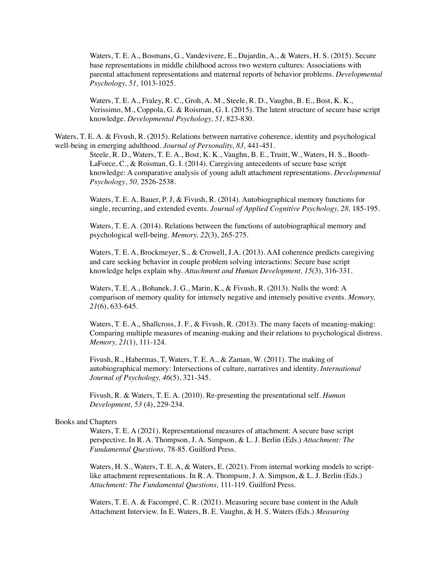Waters, T. E. A., Bosmans, G., Vandevivere, E., Dujardin, A., & Waters, H. S. (2015). Secure base representations in middle childhood across two western cultures: Associations with parental attachment representations and maternal reports of behavior problems. *Developmental Psychology, 51,* 1013-1025.

Waters, T. E. A., Fraley, R. C., Groh, A. M., Steele, R. D., Vaughn, B. E., Bost, K. K., Verissimo, M., Coppola, G. & Roisman, G. I. (2015). The latent structure of secure base script knowledge. *Developmental Psychology, 51,* 823-830.

Waters, T. E. A. & Fivush, R. (2015). Relations between narrative coherence, identity and psychological well-being in emerging adulthood. *Journal of Personality, 83,* 441-451.

> Steele, R. D., Waters, T. E. A., Bost, K. K., Vaughn, B. E., Truitt, W., Waters, H. S., Booth-LaForce, C., & Roisman, G. I. (2014). Caregiving antecedents of secure base script knowledge: A comparative analysis of young adult attachment representations. *Developmental Psychology*, *50,* 2526-2538.

> Waters, T. E. A, Bauer, P. J, & Fivush, R. (2014). Autobiographical memory functions for single, recurring, and extended events. *Journal of Applied Cognitive Psychology, 28,* 185-195.

Waters, T. E. A. (2014). Relations between the functions of autobiographical memory and psychological well-being. *Memory, 22*(3), 265-275*.* 

Waters, T. E. A, Brockmeyer, S., & Crowell, J.A. (2013). AAI coherence predicts caregiving and care seeking behavior in couple problem solving interactions: Secure base script knowledge helps explain why. *Attachment and Human Development, 15*(3), 316-331.

Waters, T. E. A., Bohanek, J. G., Marin, K., & Fivush, R. (2013). Nulls the word: A comparison of memory quality for intensely negative and intensely positive events. *Memory, 21*(6), 633-645.

Waters, T. E. A., Shallcross, J. F., & Fivush, R. (2013). The many facets of meaning-making: Comparing multiple measures of meaning-making and their relations to psychological distress. *Memory, 21*(1), 111-124.

Fivush, R., Habermas, T, Waters, T. E. A., & Zaman, W. (2011). The making of autobiographical memory: Intersections of culture, narratives and identity. *International Journal of Psychology, 46*(5), 321-345.

Fivush, R. & Waters, T. E. A. (2010). Re-presenting the presentational self. *Human Development, 53* (4), 229-234.

#### Books and Chapters

Waters, T. E. A (2021). Representational measures of attachment: A secure base script perspective. In R. A. Thompson, J. A. Simpson, & L. J. Berlin (Eds.) *Attachment: The Fundamental Questions,* 78-85. Guilford Press.

Waters, H. S., Waters, T. E. A, & Waters, E. (2021). From internal working models to scriptlike attachment representations. In R. A. Thompson, J. A. Simpson, & L. J. Berlin (Eds.) *Attachment: The Fundamental Questions,* 111-119. Guilford Press.

Waters, T. E. A. & Facompré, C. R. (2021). Measuring secure base content in the Adult Attachment Interview. In E. Waters, B. E. Vaughn, & H. S. Waters (Eds.) *Measuring*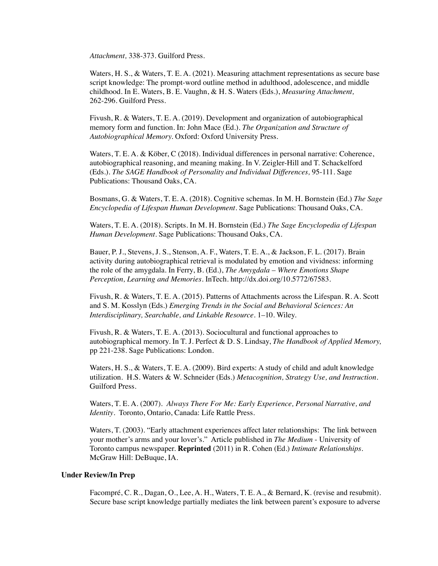*Attachment,* 338-373*.* Guilford Press.

Waters, H. S., & Waters, T. E. A. (2021). Measuring attachment representations as secure base script knowledge: The prompt-word outline method in adulthood, adolescence, and middle childhood. In E. Waters, B. E. Vaughn, & H. S. Waters (Eds.), *Measuring Attachment,*  262-296. Guilford Press.

Fivush, R. & Waters, T. E. A. (2019). Development and organization of autobiographical memory form and function. In: John Mace (Ed.). *The Organization and Structure of Autobiographical Memory.* Oxford: Oxford University Press.

Waters, T. E. A. & Köber, C (2018). Individual differences in personal narrative: Coherence, autobiographical reasoning, and meaning making. In V. Zeigler-Hill and T. Schackelford (Eds.). *The SAGE Handbook of Personality and Individual Differences,* 95-111*.* Sage Publications: Thousand Oaks, CA.

Bosmans, G. & Waters, T. E. A. (2018). Cognitive schemas. In M. H. Bornstein (Ed.) *The Sage Encyclopedia of Lifespan Human Development*. Sage Publications: Thousand Oaks, CA.

Waters, T. E. A. (2018). Scripts. In M. H. Bornstein (Ed.) *The Sage Encyclopedia of Lifespan Human Development*. Sage Publications: Thousand Oaks, CA.

Bauer, P. J., Stevens, J. S., Stenson, A. F., Waters, T. E. A., & Jackson, F. L. (2017). Brain activity during autobiographical retrieval is modulated by emotion and vividness: informing the role of the amygdala. In Ferry, B. (Ed.), *The Amygdala – Where Emotions Shape Perception, Learning and Memories.* InTech. http://dx.doi.org/10.5772/67583.

Fivush, R. & Waters, T. E. A. (2015). Patterns of Attachments across the Lifespan. R. A. Scott and S. M. Kosslyn (Eds.) *Emerging Trends in the Social and Behavioral Sciences: An Interdisciplinary, Searchable, and Linkable Resource*. 1–10. Wiley.

Fivush, R. & Waters, T. E. A. (2013). Sociocultural and functional approaches to autobiographical memory. In T. J. Perfect & D. S. Lindsay, *The Handbook of Applied Memory,*  pp 221-238. Sage Publications: London.

Waters, H. S., & Waters, T. E. A. (2009). Bird experts: A study of child and adult knowledge utilization. H.S. Waters & W. Schneider (Eds.) *Metacognition, Strategy Use, and Instruction.*  Guilford Press.

Waters, T. E. A. (2007). *Always There For Me: Early Experience, Personal Narrative, and Identity*. Toronto, Ontario, Canada: Life Rattle Press.

Waters, T. (2003). "Early attachment experiences affect later relationships: The link between your mother's arms and your lover's." Article published in *The Medium* - University of Toronto campus newspaper. **Reprinted** (2011) in R. Cohen (Ed.) *Intimate Relationships.*  McGraw Hill: DeBuque, IA.

## **Under Review/In Prep**

Facompré, C. R., Dagan, O., Lee, A. H., Waters, T. E. A., & Bernard, K. (revise and resubmit). Secure base script knowledge partially mediates the link between parent's exposure to adverse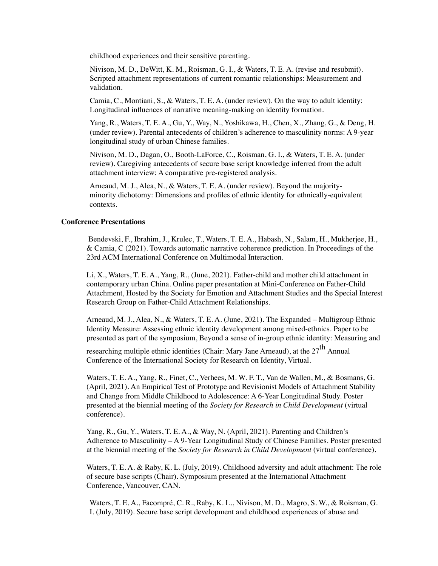childhood experiences and their sensitive parenting.

Nivison, M. D., DeWitt, K. M., Roisman, G. I., & Waters, T. E. A. (revise and resubmit). Scripted attachment representations of current romantic relationships: Measurement and validation.

Camia, C., Montiani, S., & Waters, T. E. A. (under review). On the way to adult identity: Longitudinal influences of narrative meaning-making on identity formation.

Yang, R., Waters, T. E. A., Gu, Y., Way, N., Yoshikawa, H., Chen, X., Zhang, G., & Deng, H. (under review). Parental antecedents of children's adherence to masculinity norms: A 9-year longitudinal study of urban Chinese families.

Nivison, M. D., Dagan, O., Booth-LaForce, C., Roisman, G. I., & Waters, T. E. A. (under review). Caregiving antecedents of secure base script knowledge inferred from the adult attachment interview: A comparative pre-registered analysis.

Arneaud, M. J., Alea, N., & Waters, T. E. A. (under review). Beyond the majorityminority dichotomy: Dimensions and profiles of ethnic identity for ethnically-equivalent contexts.

### **Conference Presentations**

 Bendevski, F., Ibrahim, J., Krulec, T., Waters, T. E. A., Habash, N., Salam, H., Mukherjee, H., & Camia, C (2021). Towards automatic narrative coherence prediction. In Proceedings of the 23rd ACM International Conference on Multimodal Interaction.

Li, X., Waters, T. E. A., Yang, R., (June, 2021). Father-child and mother child attachment in contemporary urban China. Online paper presentation at Mini-Conference on Father-Child Attachment, Hosted by the Society for Emotion and Attachment Studies and the Special Interest Research Group on Father-Child Attachment Relationships.

Arneaud, M. J., Alea, N., & Waters, T. E. A. (June, 2021). The Expanded – Multigroup Ethnic Identity Measure: Assessing ethnic identity development among mixed-ethnics. Paper to be presented as part of the symposium, Beyond a sense of in-group ethnic identity: Measuring and

researching multiple ethnic identities (Chair: Mary Jane Arneaud), at the  $27^{th}$  Annual Conference of the International Society for Research on Identity, Virtual.

Waters, T. E. A., Yang, R., Finet, C., Verhees, M. W. F. T., Van de Wallen, M., & Bosmans, G. (April, 2021). An Empirical Test of Prototype and Revisionist Models of Attachment Stability and Change from Middle Childhood to Adolescence: A 6-Year Longitudinal Study. Poster presented at the biennial meeting of the *Society for Research in Child Development* (virtual conference).

Yang, R., Gu, Y., Waters, T. E. A., & Way, N. (April, 2021). Parenting and Children's Adherence to Masculinity – A 9-Year Longitudinal Study of Chinese Families. Poster presented at the biennial meeting of the *Society for Research in Child Development* (virtual conference).

Waters, T. E. A. & Raby, K. L. (July, 2019). Childhood adversity and adult attachment: The role of secure base scripts (Chair). Symposium presented at the International Attachment Conference, Vancouver, CAN.

Waters, T. E. A., Facompré, C. R., Raby, K. L., Nivison, M. D., Magro, S. W., & Roisman, G. I. (July, 2019). Secure base script development and childhood experiences of abuse and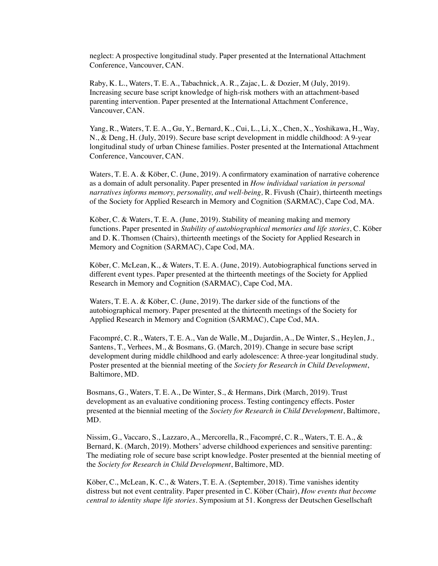neglect: A prospective longitudinal study. Paper presented at the International Attachment Conference, Vancouver, CAN.

Raby, K. L., Waters, T. E. A., Tabachnick, A. R., Zajac, L. & Dozier, M (July, 2019). Increasing secure base script knowledge of high-risk mothers with an attachment-based parenting intervention. Paper presented at the International Attachment Conference, Vancouver, CAN.

Yang, R., Waters, T. E. A., Gu, Y., Bernard, K., Cui, L., Li, X., Chen, X., Yoshikawa, H., Way, N., & Deng, H. (July, 2019). Secure base script development in middle childhood: A 9-year longitudinal study of urban Chinese families. Poster presented at the International Attachment Conference, Vancouver, CAN.

Waters, T. E. A. & Köber, C. (June, 2019). A confirmatory examination of narrative coherence as a domain of adult personality. Paper presented in *How individual variation in personal narratives informs memory, personality, and well-being,* R. Fivush (Chair), thirteenth meetings of the Society for Applied Research in Memory and Cognition (SARMAC), Cape Cod, MA.

Köber, C. & Waters, T. E. A. (June, 2019). Stability of meaning making and memory functions. Paper presented in *Stability of autobiographical memories and life stories*, C. Köber and D. K. Thomsen (Chairs), thirteenth meetings of the Society for Applied Research in Memory and Cognition (SARMAC), Cape Cod, MA.

Köber, C. McLean, K., & Waters, T. E. A. (June, 2019). Autobiographical functions served in different event types. Paper presented at the thirteenth meetings of the Society for Applied Research in Memory and Cognition (SARMAC), Cape Cod, MA.

Waters, T. E. A. & Köber, C. (June, 2019). The darker side of the functions of the autobiographical memory. Paper presented at the thirteenth meetings of the Society for Applied Research in Memory and Cognition (SARMAC), Cape Cod, MA.

Facompré, C. R., Waters, T. E. A., Van de Walle, M., Dujardin, A., De Winter, S., Heylen, J., Santens, T., Verhees, M., & Bosmans, G. (March, 2019). Change in secure base script development during middle childhood and early adolescence: A three-year longitudinal study. Poster presented at the biennial meeting of the *Society for Research in Child Development*, Baltimore, MD.

Bosmans, G., Waters, T. E. A., De Winter, S., & Hermans, Dirk (March, 2019). Trust development as an evaluative conditioning process. Testing contingency effects. Poster presented at the biennial meeting of the *Society for Research in Child Development*, Baltimore, MD.

Nissim, G., Vaccaro, S., Lazzaro, A., Mercorella, R., Facompré, C. R., Waters, T. E. A., & Bernard, K. (March, 2019). Mothers' adverse childhood experiences and sensitive parenting: The mediating role of secure base script knowledge. Poster presented at the biennial meeting of the *Society for Research in Child Development*, Baltimore, MD.

Köber, C., McLean, K. C., & Waters, T. E. A. (September, 2018). Time vanishes identity distress but not event centrality. Paper presented in C. Köber (Chair), *How events that become central to identity shape life stories*. Symposium at 51. Kongress der Deutschen Gesellschaft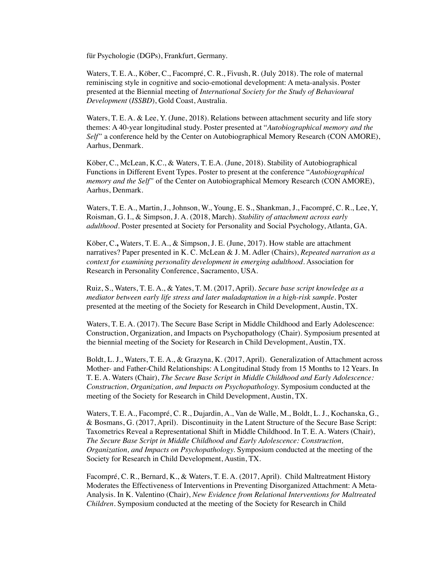für Psychologie (DGPs), Frankfurt, Germany.

Waters, T. E. A., Köber, C., Facompré, C. R., Fivush, R. (July 2018). The role of maternal reminiscing style in cognitive and socio-emotional development: A meta-analysis. Poster presented at the Biennial meeting of *International Society for the Study of Behavioural Development* (*ISSBD*), Gold Coast, Australia.

Waters, T. E. A. & Lee, Y. (June, 2018). Relations between attachment security and life story themes: A 40-year longitudinal study. Poster presented at "*Autobiographical memory and the Self"* a conference held by the Center on Autobiographical Memory Research (CON AMORE), Aarhus, Denmark.

Köber, C., McLean, K.C., & Waters, T. E.A. (June, 2018). Stability of Autobiographical Functions in Different Event Types. Poster to present at the conference "*Autobiographical memory and the Self"* of the Center on Autobiographical Memory Research (CON AMORE), Aarhus, Denmark.

Waters, T. E. A., Martin, J., Johnson, W., Young, E. S., Shankman, J., Facompré, C. R., Lee, Y, Roisman, G. I., & Simpson, J. A. (2018, March). *Stability of attachment across early adulthood.* Poster presented at Society for Personality and Social Psychology, Atlanta, GA.

Köber, C.**,** Waters, T. E. A., & Simpson, J. E. (June, 2017). How stable are attachment narratives? Paper presented in K. C. McLean & J. M. Adler (Chairs), *Repeated narration as a context for examining personality development in emerging adulthood*. Association for Research in Personality Conference, Sacramento, USA.

Ruiz, S., Waters, T. E. A., & Yates, T. M. (2017, April). *Secure base script knowledge as a mediator between early life stress and later maladaptation in a high-risk sample*. Poster presented at the meeting of the Society for Research in Child Development, Austin, TX.

Waters, T. E. A. (2017). The Secure Base Script in Middle Childhood and Early Adolescence: Construction, Organization, and Impacts on Psychopathology (Chair). Symposium presented at the biennial meeting of the Society for Research in Child Development, Austin, TX.

Boldt, L. J., Waters, T. E. A., & Grazyna, K. (2017, April). Generalization of Attachment across Mother- and Father-Child Relationships: A Longitudinal Study from 15 Months to 12 Years. In T. E. A. Waters (Chair), *The Secure Base Script in Middle Childhood and Early Adolescence: Construction, Organization, and Impacts on Psychopathology.* Symposium conducted at the meeting of the Society for Research in Child Development, Austin, TX.

Waters, T. E. A., Facompré, C. R., Dujardin, A., Van de Walle, M., Boldt, L. J., Kochanska, G., & Bosmans, G. (2017, April). Discontinuity in the Latent Structure of the Secure Base Script: Taxometrics Reveal a Representational Shift in Middle Childhood. In T. E. A. Waters (Chair), *The Secure Base Script in Middle Childhood and Early Adolescence: Construction, Organization, and Impacts on Psychopathology.* Symposium conducted at the meeting of the Society for Research in Child Development, Austin, TX.

Facompré, C. R., Bernard, K., & Waters, T. E. A. (2017, April). Child Maltreatment History Moderates the Effectiveness of Interventions in Preventing Disorganized Attachment: A Meta-Analysis. In K. Valentino (Chair), *New Evidence from Relational Interventions for Maltreated Children.* Symposium conducted at the meeting of the Society for Research in Child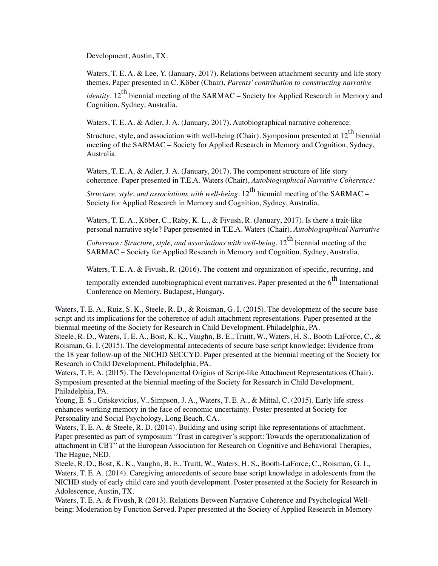Development, Austin, TX.

Waters, T. E. A. & Lee, Y. (January, 2017). Relations between attachment security and life story themes. Paper presented in C. Köber (Chair), *Parents' contribution to constructing narrative* 

*identity*.  $12^{th}$  biennial meeting of the SARMAC – Society for Applied Research in Memory and Cognition, Sydney, Australia.

Waters, T. E. A. & Adler, J. A. (January, 2017). Autobiographical narrative coherence:

Structure, style, and association with well-being (Chair). Symposium presented at  $12^{th}$  biennial meeting of the SARMAC – Society for Applied Research in Memory and Cognition, Sydney, Australia.

Waters, T. E. A. & Adler, J. A. (January, 2017). The component structure of life story coherence. Paper presented in T.E.A. Waters (Chair), *Autobiographical Narrative Coherence:* 

*Structure, style, and associations with well-being*,  $12^{th}$  biennial meeting of the SARMAC – Society for Applied Research in Memory and Cognition, Sydney, Australia.

Waters, T. E. A., Köber, C., Raby, K. L., & Fivush, R. (January, 2017). Is there a trait-like personal narrative style? Paper presented in T.E.A. Waters (Chair), *Autobiographical Narrative* 

*Coherence: Structure, style, and associations with well-being*. 12<sup>th</sup> biennial meeting of the SARMAC – Society for Applied Research in Memory and Cognition, Sydney, Australia.

Waters, T. E. A. & Fivush, R. (2016). The content and organization of specific, recurring, and

temporally extended autobiographical event narratives. Paper presented at the  $6<sup>th</sup>$  International Conference on Memory, Budapest, Hungary.

Waters, T. E. A., Ruiz, S. K., Steele, R. D., & Roisman, G. I. (2015). The development of the secure base script and its implications for the coherence of adult attachment representations. Paper presented at the biennial meeting of the Society for Research in Child Development, Philadelphia, PA.

Steele, R. D., Waters, T. E. A., Bost, K. K., Vaughn, B. E., Truitt, W., Waters, H. S., Booth-LaForce, C., & Roisman, G. I. (2015). The developmental antecedents of secure base script knowledge: Evidence from the 18 year follow-up of the NICHD SECCYD. Paper presented at the biennial meeting of the Society for Research in Child Development, Philadelphia, PA.

Waters, T. E. A. (2015). The Developmental Origins of Script-like Attachment Representations (Chair). Symposium presented at the biennial meeting of the Society for Research in Child Development, Philadelphia, PA.

Young, E. S., Griskevicius, V., Simpson, J. A., Waters, T. E. A., & Mittal, C. (2015). Early life stress enhances working memory in the face of economic uncertainty. Poster presented at Society for Personality and Social Psychology, Long Beach, CA.

Waters, T. E. A. & Steele, R. D. (2014). Building and using script-like representations of attachment. Paper presented as part of symposium "Trust in caregiver's support: Towards the operationalization of attachment in CBT" at the European Association for Research on Cognitive and Behavioral Therapies, The Hague, NED.

Steele, R. D., Bost, K. K., Vaughn, B. E., Truitt, W., Waters, H. S., Booth-LaForce, C., Roisman, G. I., Waters, T. E. A. (2014). Caregiving antecedents of secure base script knowledge in adolescents from the NICHD study of early child care and youth development. Poster presented at the Society for Research in Adolescence, Austin, TX.

Waters, T. E. A. & Fivush, R (2013). Relations Between Narrative Coherence and Psychological Wellbeing: Moderation by Function Served. Paper presented at the Society of Applied Research in Memory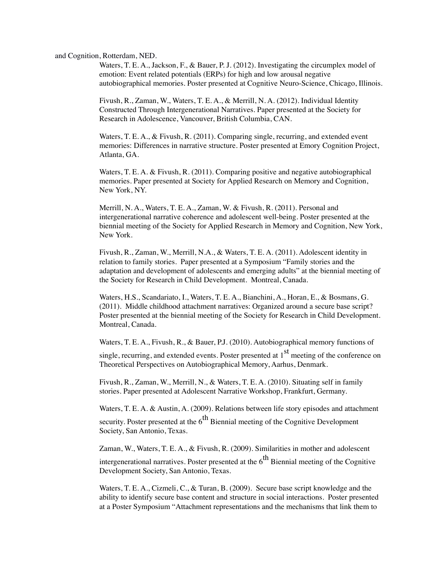and Cognition, Rotterdam, NED.

Waters, T. E. A., Jackson, F., & Bauer, P. J. (2012). Investigating the circumplex model of emotion: Event related potentials (ERPs) for high and low arousal negative autobiographical memories. Poster presented at Cognitive Neuro-Science, Chicago, Illinois.

Fivush, R., Zaman, W., Waters, T. E. A., & Merrill, N. A. (2012). Individual Identity Constructed Through Intergenerational Narratives. Paper presented at the Society for Research in Adolescence, Vancouver, British Columbia, CAN.

Waters, T. E. A., & Fivush, R. (2011). Comparing single, recurring, and extended event memories: Differences in narrative structure. Poster presented at Emory Cognition Project, Atlanta, GA.

Waters, T. E. A. & Fivush, R. (2011). Comparing positive and negative autobiographical memories. Paper presented at Society for Applied Research on Memory and Cognition, New York, NY.

Merrill, N. A., Waters, T. E. A., Zaman, W. & Fivush, R. (2011). Personal and intergenerational narrative coherence and adolescent well-being. Poster presented at the biennial meeting of the Society for Applied Research in Memory and Cognition, New York, New York.

Fivush, R., Zaman, W., Merrill, N.A., & Waters, T. E. A. (2011). Adolescent identity in relation to family stories. Paper presented at a Symposium "Family stories and the adaptation and development of adolescents and emerging adults" at the biennial meeting of the Society for Research in Child Development. Montreal, Canada.

Waters, H.S., Scandariato, I., Waters, T. E. A., Bianchini, A., Horan, E., & Bosmans, G. (2011). Middle childhood attachment narratives: Organized around a secure base script? Poster presented at the biennial meeting of the Society for Research in Child Development. Montreal, Canada.

Waters, T. E. A., Fivush, R., & Bauer, P.J. (2010). Autobiographical memory functions of

single, recurring, and extended events. Poster presented at  $1<sup>st</sup>$  meeting of the conference on Theoretical Perspectives on Autobiographical Memory, Aarhus, Denmark.

Fivush, R., Zaman, W., Merrill, N., & Waters, T. E. A. (2010). Situating self in family stories. Paper presented at Adolescent Narrative Workshop, Frankfurt, Germany.

Waters, T. E. A. & Austin, A. (2009). Relations between life story episodes and attachment security. Poster presented at the  $6<sup>th</sup>$  Biennial meeting of the Cognitive Development Society, San Antonio, Texas.

Zaman, W., Waters, T. E. A., & Fivush, R. (2009). Similarities in mother and adolescent intergenerational narratives. Poster presented at the  $6<sup>th</sup>$  Biennial meeting of the Cognitive Development Society, San Antonio, Texas.

Waters, T. E. A., Cizmeli, C., & Turan, B. (2009). Secure base script knowledge and the ability to identify secure base content and structure in social interactions. Poster presented at a Poster Symposium "Attachment representations and the mechanisms that link them to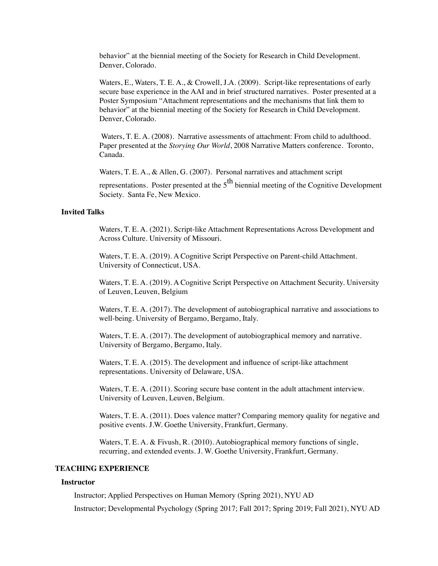behavior" at the biennial meeting of the Society for Research in Child Development. Denver, Colorado.

Waters, E., Waters, T. E. A., & Crowell, J.A. (2009). Script-like representations of early secure base experience in the AAI and in brief structured narratives. Poster presented at a Poster Symposium "Attachment representations and the mechanisms that link them to behavior" at the biennial meeting of the Society for Research in Child Development. Denver, Colorado.

 Waters, T. E. A. (2008). Narrative assessments of attachment: From child to adulthood. Paper presented at the *Storying Our World*, 2008 Narrative Matters conference. Toronto, Canada.

Waters, T. E. A., & Allen, G. (2007). Personal narratives and attachment script

representations. Poster presented at the  $5<sup>th</sup>$  biennial meeting of the Cognitive Development Society. Santa Fe, New Mexico.

# **Invited Talks**

Waters, T. E. A. (2021). Script-like Attachment Representations Across Development and Across Culture. University of Missouri.

Waters, T. E. A. (2019). A Cognitive Script Perspective on Parent-child Attachment. University of Connecticut, USA.

Waters, T. E. A. (2019). A Cognitive Script Perspective on Attachment Security. University of Leuven, Leuven, Belgium

Waters, T. E. A. (2017). The development of autobiographical narrative and associations to well-being. University of Bergamo, Bergamo, Italy.

Waters, T. E. A. (2017). The development of autobiographical memory and narrative. University of Bergamo, Bergamo, Italy.

Waters, T. E. A. (2015). The development and influence of script-like attachment representations. University of Delaware, USA.

Waters, T. E. A. (2011). Scoring secure base content in the adult attachment interview. University of Leuven, Leuven, Belgium.

Waters, T. E. A. (2011). Does valence matter? Comparing memory quality for negative and positive events. J.W. Goethe University, Frankfurt, Germany.

Waters, T. E. A. & Fivush, R. (2010). Autobiographical memory functions of single, recurring, and extended events. J. W. Goethe University, Frankfurt, Germany.

# **TEACHING EXPERIENCE**

### **Instructor**

Instructor; Applied Perspectives on Human Memory (Spring 2021), NYU AD

Instructor; Developmental Psychology (Spring 2017; Fall 2017; Spring 2019; Fall 2021), NYU AD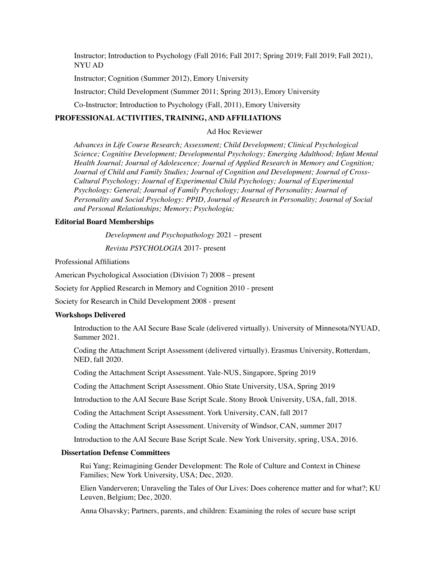Instructor; Introduction to Psychology (Fall 2016; Fall 2017; Spring 2019; Fall 2019; Fall 2021), NYU AD

Instructor; Cognition (Summer 2012), Emory University

Instructor; Child Development (Summer 2011; Spring 2013), Emory University

Co-Instructor; Introduction to Psychology (Fall, 2011), Emory University

# **PROFESSIONAL ACTIVITIES, TRAINING, AND AFFILIATIONS**

### Ad Hoc Reviewer

*Advances in Life Course Research; Assessment; Child Development; Clinical Psychological Science; Cognitive Development; Developmental Psychology; Emerging Adulthood; Infant Mental Health Journal; Journal of Adolescence; Journal of Applied Research in Memory and Cognition; Journal of Child and Family Studies; Journal of Cognition and Development; Journal of Cross-Cultural Psychology; Journal of Experimental Child Psychology; Journal of Experimental Psychology: General; Journal of Family Psychology; Journal of Personality; Journal of Personality and Social Psychology: PPID, Journal of Research in Personality; Journal of Social and Personal Relationships; Memory; Psychologia;*

#### **Editorial Board Memberships**

*Development and Psychopathology* 2021 – present

*Revista PSYCHOLOGIA* 2017- present

Professional Affiliations

American Psychological Association (Division 7) 2008 – present

Society for Applied Research in Memory and Cognition 2010 - present

Society for Research in Child Development 2008 - present

#### **Workshops Delivered**

Introduction to the AAI Secure Base Scale (delivered virtually). University of Minnesota/NYUAD, Summer 2021.

Coding the Attachment Script Assessment (delivered virtually). Erasmus University, Rotterdam, NED, fall 2020.

Coding the Attachment Script Assessment. Yale-NUS, Singapore, Spring 2019

Coding the Attachment Script Assessment. Ohio State University, USA, Spring 2019

Introduction to the AAI Secure Base Script Scale. Stony Brook University, USA, fall, 2018.

Coding the Attachment Script Assessment. York University, CAN, fall 2017

Coding the Attachment Script Assessment. University of Windsor, CAN, summer 2017

Introduction to the AAI Secure Base Script Scale. New York University, spring, USA, 2016.

### **Dissertation Defense Committees**

Rui Yang; Reimagining Gender Development: The Role of Culture and Context in Chinese Families; New York University, USA; Dec, 2020.

Elien Vanderveren; Unraveling the Tales of Our Lives: Does coherence matter and for what?; KU Leuven, Belgium; Dec, 2020.

Anna Olsavsky; Partners, parents, and children: Examining the roles of secure base script